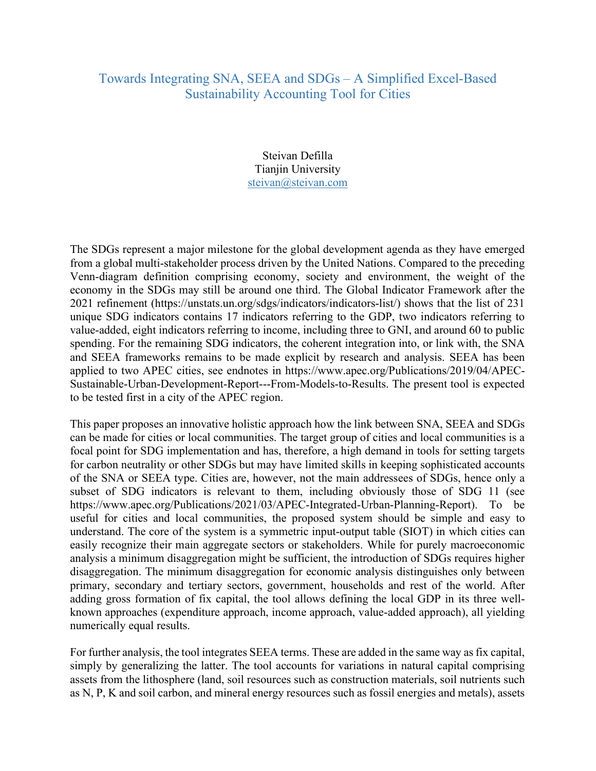## Towards Integrating SNA, SEEA and SDGs – A Simplified Excel-Based Sustainability Accounting Tool for Cities

Steivan Defilla Tianjin University steivan@steivan.com

The SDGs represent a major milestone for the global development agenda as they have emerged from a global multi-stakeholder process driven by the United Nations. Compared to the preceding Venn-diagram definition comprising economy, society and environment, the weight of the economy in the SDGs may still be around one third. The Global Indicator Framework after the 2021 refinement (https://unstats.un.org/sdgs/indicators/indicators-list/) shows that the list of 231 unique SDG indicators contains 17 indicators referring to the GDP, two indicators referring to value-added, eight indicators referring to income, including three to GNI, and around 60 to public spending. For the remaining SDG indicators, the coherent integration into, or link with, the SNA and SEEA frameworks remains to be made explicit by research and analysis. SEEA has been applied to two APEC cities, see endnotes in https://www.apec.org/Publications/2019/04/APEC-Sustainable-Urban-Development-Report---From-Models-to-Results. The present tool is expected to be tested first in a city of the APEC region.

This paper proposes an innovative holistic approach how the link between SNA, SEEA and SDGs can be made for cities or local communities. The target group of cities and local communities is a focal point for SDG implementation and has, therefore, a high demand in tools for setting targets for carbon neutrality or other SDGs but may have limited skills in keeping sophisticated accounts of the SNA or SEEA type. Cities are, however, not the main addressees of SDGs, hence only a subset of SDG indicators is relevant to them, including obviously those of SDG 11 (see https://www.apec.org/Publications/2021/03/APEC-Integrated-Urban-Planning-Report). To be useful for cities and local communities, the proposed system should be simple and easy to understand. The core of the system is a symmetric input-output table (SIOT) in which cities can easily recognize their main aggregate sectors or stakeholders. While for purely macroeconomic analysis a minimum disaggregation might be sufficient, the introduction of SDGs requires higher disaggregation. The minimum disaggregation for economic analysis distinguishes only between primary, secondary and tertiary sectors, government, households and rest of the world. After adding gross formation of fix capital, the tool allows defining the local GDP in its three wellknown approaches (expenditure approach, income approach, value-added approach), all yielding numerically equal results.

For further analysis, the tool integrates SEEA terms. These are added in the same way as fix capital, simply by generalizing the latter. The tool accounts for variations in natural capital comprising assets from the lithosphere (land, soil resources such as construction materials, soil nutrients such as N, P, K and soil carbon, and mineral energy resources such as fossil energies and metals), assets